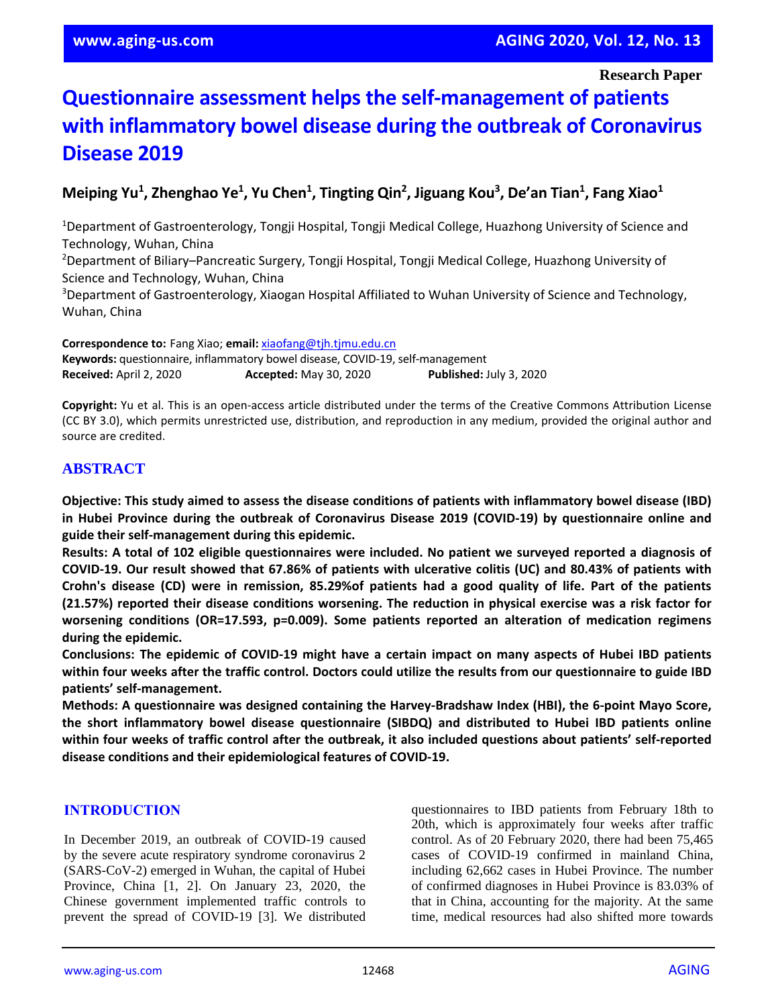# **Questionnaire assessment helps the self-management of patients with inflammatory bowel disease during the outbreak of Coronavirus Disease 2019**

# **Meiping Yu<sup>1</sup> , Zhenghao Ye<sup>1</sup> , Yu Chen<sup>1</sup> , Tingting Qin<sup>2</sup> , Jiguang Kou<sup>3</sup> , De'an Tian<sup>1</sup> , Fang Xiao<sup>1</sup>**

<sup>1</sup>Department of Gastroenterology, Tongji Hospital, Tongji Medical College, Huazhong University of Science and Technology, Wuhan, China

<sup>2</sup>Department of Biliary–Pancreatic Surgery, Tongji Hospital, Tongji Medical College, Huazhong University of Science and Technology, Wuhan, China

<sup>3</sup>Department of Gastroenterology, Xiaogan Hospital Affiliated to Wuhan University of Science and Technology, Wuhan, China

**Correspondence to:** Fang Xiao; **email:** [xiaofang@tjh.tjmu.edu.cn](mailto:xiaofang@tjh.tjmu.edu.cn) **Keywords:** questionnaire, inflammatory bowel disease, COVID-19, self-management **Received:** April 2, 2020 **Accepted:** May 30, 2020 **Published:** July 3, 2020

**Copyright:** Yu et al. This is an open-access article distributed under the terms of the Creative Commons Attribution License (CC BY 3.0), which permits unrestricted use, distribution, and reproduction in any medium, provided the original author and source are credited.

## **ABSTRACT**

**Objective: This study aimed to assess the disease conditions of patients with inflammatory bowel disease (IBD) in Hubei Province during the outbreak of Coronavirus Disease 2019 (COVID-19) by questionnaire online and guide their self-management during this epidemic.**

Results: A total of 102 eligible questionnaires were included. No patient we surveyed reported a diagnosis of COVID-19. Our result showed that 67.86% of patients with ulcerative colitis (UC) and 80.43% of patients with Crohn's disease (CD) were in remission, 85.29% of patients had a good quality of life. Part of the patients **(21.57%) reported their disease conditions worsening. The reduction in physical exercise was a risk factor for worsening conditions (OR=17.593, p=0.009). Some patients reported an alteration of medication regimens during the epidemic.**

**Conclusions: The epidemic of COVID-19 might have a certain impact on many aspects of Hubei IBD patients** within four weeks after the traffic control. Doctors could utilize the results from our questionnaire to guide IBD **patients' self-management.**

**Methods: A questionnaire was designed containing the Harvey-Bradshaw Index (HBI), the 6-point Mayo Score, the short inflammatory bowel disease questionnaire (SIBDQ) and distributed to Hubei IBD patients online** within four weeks of traffic control after the outbreak, it also included questions about patients' self-reported **disease conditions and their epidemiological features of COVID-19.**

## **INTRODUCTION**

In December 2019, an outbreak of COVID-19 caused by the severe acute respiratory syndrome coronavirus 2 (SARS-CoV-2) emerged in Wuhan, the capital of Hubei Province, China [1, 2]. On January 23, 2020, the Chinese government implemented traffic controls to prevent the spread of COVID-19 [3]. We distributed questionnaires to IBD patients from February 18th to 20th, which is approximately four weeks after traffic control. As of 20 February 2020, there had been 75,465 cases of COVID-19 confirmed in mainland China, including 62,662 cases in Hubei Province. The number of confirmed diagnoses in Hubei Province is 83.03% of that in China, accounting for the majority. At the same time, medical resources had also shifted more towards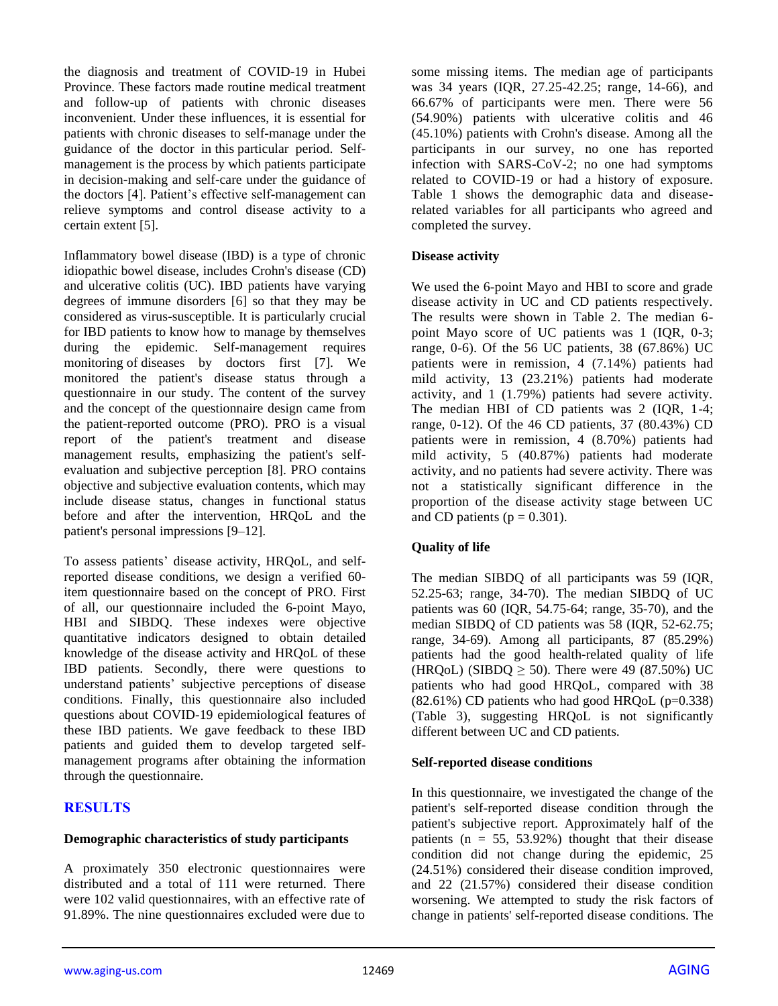the diagnosis and treatment of COVID-19 in Hubei Province. These factors made routine medical treatment and follow-up of patients with chronic diseases inconvenient. Under these influences, it is essential for patients with chronic diseases to self-manage under the guidance of the doctor in this particular period. Selfmanagement is the process by which patients participate in decision-making and self-care under the guidance of the doctors [4]. Patient's effective self-management can relieve symptoms and control disease activity to a certain extent [5].

Inflammatory bowel disease (IBD) is a type of chronic idiopathic bowel disease, includes Crohn's disease (CD) and ulcerative colitis (UC). IBD patients have varying degrees of immune disorders [6] so that they may be considered as virus-susceptible. It is particularly crucial for IBD patients to know how to manage by themselves during the epidemic. Self-management requires monitoring of diseases by doctors first [7]. We monitored the patient's disease status through a questionnaire in our study. The content of the survey and the concept of the questionnaire design came from the patient-reported outcome (PRO). PRO is a visual report of the patient's treatment and disease management results, emphasizing the patient's selfevaluation and subjective perception [8]. PRO contains objective and subjective evaluation contents, which may include disease status, changes in functional status before and after the intervention, HRQoL and the patient's personal impressions [9–12].

To assess patients' disease activity, HRQoL, and selfreported disease conditions, we design a verified 60 item questionnaire based on the concept of PRO. First of all, our questionnaire included the 6-point Mayo, HBI and SIBDQ. These indexes were objective quantitative indicators designed to obtain detailed knowledge of the disease activity and HRQoL of these IBD patients. Secondly, there were questions to understand patients' subjective perceptions of disease conditions. Finally, this questionnaire also included questions about COVID-19 epidemiological features of these IBD patients. We gave feedback to these IBD patients and guided them to develop targeted selfmanagement programs after obtaining the information through the questionnaire.

## **RESULTS**

### **Demographic characteristics of study participants**

A proximately 350 electronic questionnaires were distributed and a total of 111 were returned. There were 102 valid questionnaires, with an effective rate of 91.89%. The nine questionnaires excluded were due to some missing items. The median age of participants was 34 years (IQR, 27.25-42.25; range, 14-66), and 66.67% of participants were men. There were 56 (54.90%) patients with ulcerative colitis and 46 (45.10%) patients with Crohn's disease. Among all the participants in our survey, no one has reported infection with SARS-CoV-2; no one had symptoms related to COVID-19 or had a history of exposure. Table 1 shows the demographic data and diseaserelated variables for all participants who agreed and completed the survey.

## **Disease activity**

We used the 6-point Mayo and HBI to score and grade disease activity in UC and CD patients respectively. The results were shown in Table 2. The median 6 point Mayo score of UC patients was 1 (IQR, 0-3; range, 0-6). Of the 56 UC patients, 38 (67.86%) UC patients were in remission, 4 (7.14%) patients had mild activity, 13 (23.21%) patients had moderate activity, and 1 (1.79%) patients had severe activity. The median HBI of CD patients was 2 (IQR, 1-4; range, 0-12). Of the 46 CD patients, 37 (80.43%) CD patients were in remission, 4 (8.70%) patients had mild activity, 5 (40.87%) patients had moderate activity, and no patients had severe activity. There was not a statistically significant difference in the proportion of the disease activity stage between UC and CD patients ( $p = 0.301$ ).

## **Quality of life**

The median SIBDQ of all participants was 59 (IQR, 52.25-63; range, 34-70). The median SIBDQ of UC patients was 60 (IQR, 54.75-64; range, 35-70), and the median SIBDQ of CD patients was 58 (IQR, 52-62.75; range, 34-69). Among all participants, 87 (85.29%) patients had the good health-related quality of life (HRQoL) (SIBDQ  $\geq$  50). There were 49 (87.50%) UC patients who had good HRQoL, compared with 38  $(82.61\%)$  CD patients who had good HROoL  $(p=0.338)$ (Table 3), suggesting HRQoL is not significantly different between UC and CD patients.

### **Self-reported disease conditions**

In this questionnaire, we investigated the change of the patient's self-reported disease condition through the patient's subjective report. Approximately half of the patients ( $n = 55, 53.92\%$ ) thought that their disease condition did not change during the epidemic, 25 (24.51%) considered their disease condition improved, and 22 (21.57%) considered their disease condition worsening. We attempted to study the risk factors of change in patients' self-reported disease conditions. The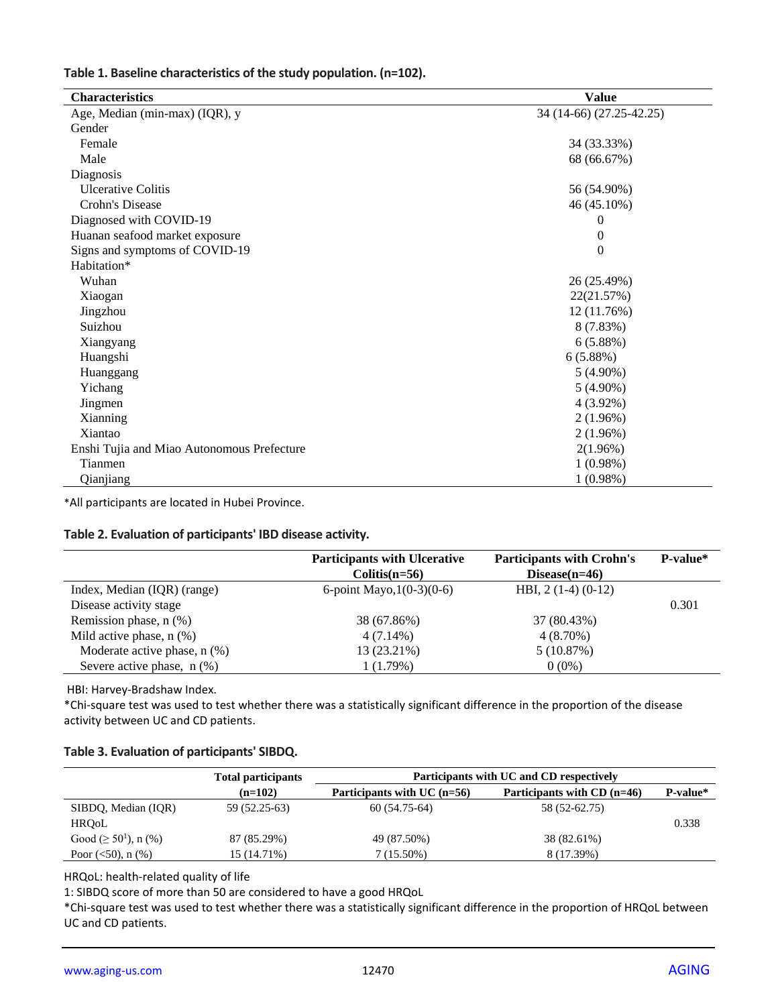|  |  | Table 1. Baseline characteristics of the study population. (n=102). |  |  |  |  |
|--|--|---------------------------------------------------------------------|--|--|--|--|
|--|--|---------------------------------------------------------------------|--|--|--|--|

| <b>Characteristics</b>                     | <b>Value</b>             |
|--------------------------------------------|--------------------------|
| Age, Median (min-max) (IQR), y             | 34 (14-66) (27.25-42.25) |
| Gender                                     |                          |
| Female                                     | 34 (33.33%)              |
| Male                                       | 68 (66.67%)              |
| Diagnosis                                  |                          |
| <b>Ulcerative Colitis</b>                  | 56 (54.90%)              |
| Crohn's Disease                            | 46 (45.10%)              |
| Diagnosed with COVID-19                    | $\theta$                 |
| Huanan seafood market exposure             | $\mathbf{0}$             |
| Signs and symptoms of COVID-19             | $\theta$                 |
| Habitation*                                |                          |
| Wuhan                                      | 26 (25.49%)              |
| Xiaogan                                    | 22(21.57%)               |
| Jingzhou                                   | 12 (11.76%)              |
| Suizhou                                    | 8 (7.83%)                |
| Xiangyang                                  | 6(5.88%)                 |
| Huangshi                                   | 6(5.88%)                 |
| Huanggang                                  | $5(4.90\%)$              |
| Yichang                                    | $5(4.90\%)$              |
| Jingmen                                    | $4(3.92\%)$              |
| Xianning                                   | 2(1.96%)                 |
| Xiantao                                    | 2(1.96%)                 |
| Enshi Tujia and Miao Autonomous Prefecture | 2(1.96%)                 |
| Tianmen                                    | $1(0.98\%)$              |
| Qianjiang                                  | 1(0.98%)                 |

\*All participants are located in Hubei Province.

#### **Table 2. Evaluation of participants' IBD disease activity.**

|                                | <b>Participants with Ulcerative</b><br>$Colitis(n=56)$ | <b>Participants with Crohn's</b><br>Disease $(n=46)$ | P-value* |
|--------------------------------|--------------------------------------------------------|------------------------------------------------------|----------|
| Index, Median (IQR) (range)    | 6-point Mayo, $1(0-3)(0-6)$                            | HBI, $2(1-4)(0-12)$                                  |          |
| Disease activity stage         |                                                        |                                                      | 0.301    |
| Remission phase, $n$ $%$ )     | 38 (67.86%)                                            | 37 (80.43%)                                          |          |
| Mild active phase, $n$ $(\%)$  | $4(7.14\%)$                                            | $4(8.70\%)$                                          |          |
| Moderate active phase, $n$ (%) | 13 (23.21%)                                            | 5(10.87%)                                            |          |
| Severe active phase, $n$ (%)   | 1(1.79%)                                               | $0(0\%)$                                             |          |

HBI: Harvey-Bradshaw Index.

\*Chi-square test was used to test whether there was a statistically significant difference in the proportion of the disease activity between UC and CD patients.

#### **Table 3. Evaluation of participants' SIBDQ.**

|                             | <b>Total participants</b> | Participants with UC and CD respectively |                               |          |
|-----------------------------|---------------------------|------------------------------------------|-------------------------------|----------|
|                             | $(n=102)$                 | Participants with UC $(n=56)$            | Participants with $CD$ (n=46) | P-value* |
| SIBDQ, Median (IQR)         | 59 (52.25-63)             | $60(54.75-64)$                           | 58 (52-62.75)                 |          |
| <b>HROoL</b>                |                           |                                          |                               | 0.338    |
| Good ( $\geq 50^1$ ), n (%) | 87 (85.29%)               | 49 (87.50%)                              | 38 (82.61%)                   |          |
| Poor $(<50)$ , n $(\%)$     | 15 (14.71%)               | $7(15.50\%)$                             | 8 (17.39%)                    |          |

HRQoL: health-related quality of life

1: SIBDQ score of more than 50 are considered to have a good HRQoL

\*Chi-square test was used to test whether there was a statistically significant difference in the proportion of HRQoL between UC and CD patients.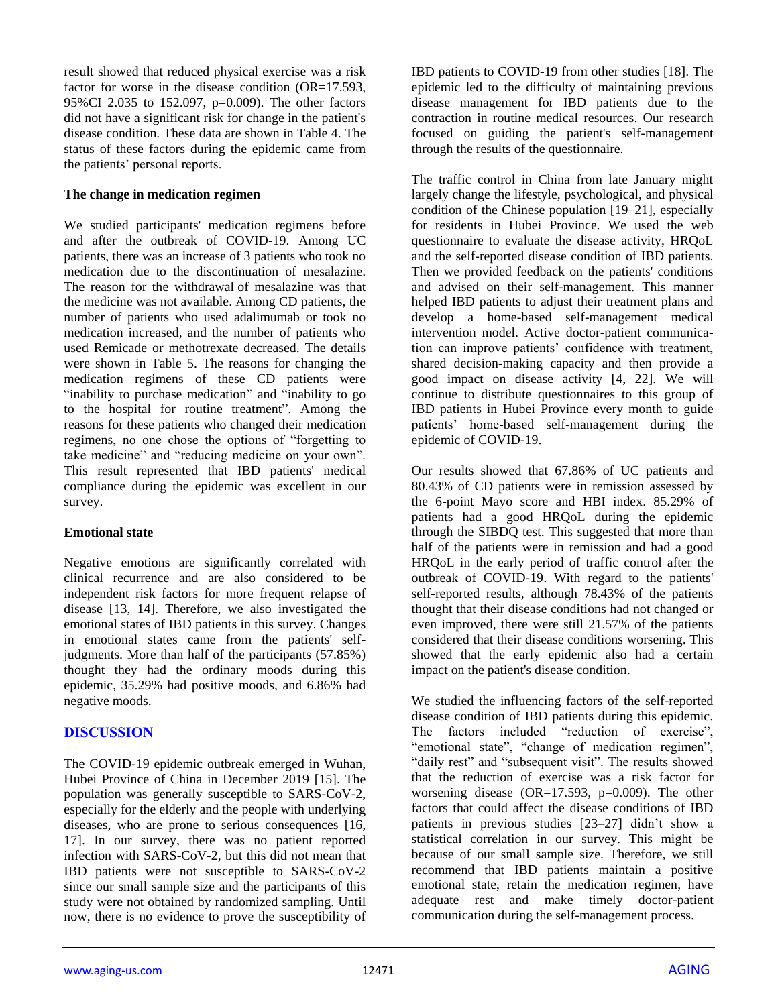result showed that reduced physical exercise was a risk factor for worse in the disease condition (OR=17.593, 95%CI 2.035 to 152.097, p=0.009). The other factors did not have a significant risk for change in the patient's disease condition. These data are shown in Table 4. The status of these factors during the epidemic came from the patients' personal reports.

#### **The change in medication regimen**

We studied participants' medication regimens before and after the outbreak of COVID-19. Among UC patients, there was an increase of 3 patients who took no medication due to the discontinuation of mesalazine. The reason for the withdrawal of mesalazine was that the medicine was not available. Among CD patients, the number of patients who used adalimumab or took no medication increased, and the number of patients who used Remicade or methotrexate decreased. The details were shown in Table 5. The reasons for changing the medication regimens of these CD patients were "inability to purchase medication" and "inability to go to the hospital for routine treatment". Among the reasons for these patients who changed their medication regimens, no one chose the options of "forgetting to take medicine" and "reducing medicine on your own". This result represented that IBD patients' medical compliance during the epidemic was excellent in our survey.

### **Emotional state**

Negative emotions are significantly correlated with clinical recurrence and are also considered to be independent risk factors for more frequent relapse of disease [13, 14]. Therefore, we also investigated the emotional states of IBD patients in this survey. Changes in emotional states came from the patients' selfjudgments. More than half of the participants (57.85%) thought they had the ordinary moods during this epidemic, 35.29% had positive moods, and 6.86% had negative moods.

## **DISCUSSION**

The COVID-19 epidemic outbreak emerged in Wuhan, Hubei Province of China in December 2019 [15]. The population was generally susceptible to SARS-CoV-2, especially for the elderly and the people with underlying diseases, who are prone to serious consequences [16, 17]. In our survey, there was no patient reported infection with SARS-CoV-2, but this did not mean that IBD patients were not susceptible to SARS-CoV-2 since our small sample size and the participants of this study were not obtained by randomized sampling. Until now, there is no evidence to prove the susceptibility of IBD patients to COVID-19 from other studies [18]. The epidemic led to the difficulty of maintaining previous disease management for IBD patients due to the contraction in routine medical resources. Our research focused on guiding the patient's self-management through the results of the questionnaire.

The traffic control in China from late January might largely change the lifestyle, psychological, and physical condition of the Chinese population [19–21], especially for residents in Hubei Province. We used the web questionnaire to evaluate the disease activity, HRQoL and the self-reported disease condition of IBD patients. Then we provided feedback on the patients' conditions and advised on their self-management. This manner helped IBD patients to adjust their treatment plans and develop a home-based self-management medical intervention model. Active doctor-patient communication can improve patients' confidence with treatment, shared decision-making capacity and then provide a good impact on disease activity [4, 22]. We will continue to distribute questionnaires to this group of IBD patients in Hubei Province every month to guide patients' home-based self-management during the epidemic of COVID-19.

Our results showed that 67.86% of UC patients and 80.43% of CD patients were in remission assessed by the 6-point Mayo score and HBI index. 85.29% of patients had a good HRQoL during the epidemic through the SIBDQ test. This suggested that more than half of the patients were in remission and had a good HRQoL in the early period of traffic control after the outbreak of COVID-19. With regard to the patients' self-reported results, although 78.43% of the patients thought that their disease conditions had not changed or even improved, there were still 21.57% of the patients considered that their disease conditions worsening. This showed that the early epidemic also had a certain impact on the patient's disease condition.

We studied the influencing factors of the self-reported disease condition of IBD patients during this epidemic. The factors included "reduction of exercise", "emotional state", "change of medication regimen", "daily rest" and "subsequent visit". The results showed that the reduction of exercise was a risk factor for worsening disease ( $OR=17.593$ ,  $p=0.009$ ). The other factors that could affect the disease conditions of IBD patients in previous studies [23–27] didn't show a statistical correlation in our survey. This might be because of our small sample size. Therefore, we still recommend that IBD patients maintain a positive emotional state, retain the medication regimen, have adequate rest and make timely doctor-patient communication during the self-management process.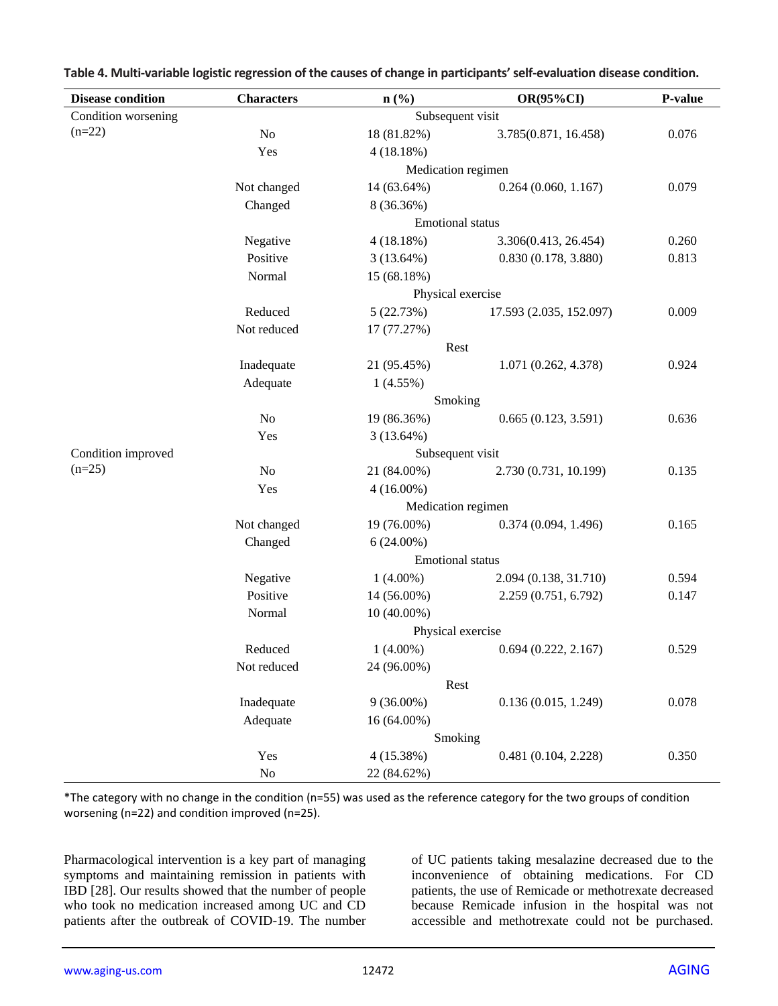| <b>Disease condition</b> | <b>Characters</b>       | n(%)               | <b>OR(95%CI)</b>        | P-value |
|--------------------------|-------------------------|--------------------|-------------------------|---------|
| Condition worsening      |                         | Subsequent visit   |                         |         |
| $(n=22)$                 | No                      | 18 (81.82%)        | 3.785(0.871, 16.458)    | 0.076   |
|                          | Yes                     | 4(18.18%)          |                         |         |
|                          |                         | Medication regimen |                         |         |
|                          | Not changed             | 14 (63.64%)        | 0.264(0.060, 1.167)     | 0.079   |
|                          | Changed                 | 8 (36.36%)         |                         |         |
|                          | <b>Emotional</b> status |                    |                         |         |
|                          | Negative                | 4(18.18%)          | 3.306(0.413, 26.454)    | 0.260   |
|                          | Positive                | 3(13.64%)          | 0.830(0.178, 3.880)     | 0.813   |
|                          | Normal                  | 15 (68.18%)        |                         |         |
|                          | Physical exercise       |                    |                         |         |
|                          | Reduced                 | 5(22.73%)          | 17.593 (2.035, 152.097) | 0.009   |
|                          | Not reduced             | 17 (77.27%)        |                         |         |
|                          | Rest                    |                    |                         |         |
|                          | Inadequate              | 21 (95.45%)        | 1.071 (0.262, 4.378)    | 0.924   |
|                          | Adequate                | 1(4.55%)           |                         |         |
|                          | Smoking                 |                    |                         |         |
|                          | N <sub>o</sub>          | 19 (86.36%)        | 0.665(0.123, 3.591)     | 0.636   |
|                          | Yes                     | 3(13.64%)          |                         |         |
| Condition improved       |                         | Subsequent visit   |                         |         |
| $(n=25)$                 | No                      | 21 (84.00%)        | 2.730 (0.731, 10.199)   | 0.135   |
|                          | Yes                     | $4(16.00\%)$       |                         |         |
|                          | Medication regimen      |                    |                         |         |
|                          | Not changed             | 19 (76.00%)        | 0.374(0.094, 1.496)     | 0.165   |
|                          | Changed                 | $6(24.00\%)$       |                         |         |
|                          | <b>Emotional</b> status |                    |                         |         |
|                          | Negative                | $1(4.00\%)$        | 2.094 (0.138, 31.710)   | 0.594   |
|                          | Positive                | 14 (56.00%)        | 2.259 (0.751, 6.792)    | 0.147   |
|                          | Normal                  | 10 (40.00%)        |                         |         |
|                          | Physical exercise       |                    |                         |         |
|                          | Reduced                 | $1(4.00\%)$        | 0.694(0.222, 2.167)     | 0.529   |
|                          | Not reduced             | 24 (96.00%)        |                         |         |
|                          | Rest                    |                    |                         |         |
|                          | Inadequate              | $9(36.00\%)$       | 0.136(0.015, 1.249)     | 0.078   |
|                          | Adequate                | 16 (64.00%)        |                         |         |
|                          | Smoking                 |                    |                         |         |
|                          | Yes                     | 4(15.38%)          | 0.481 (0.104, 2.228)    | 0.350   |
|                          | $\rm No$                | 22 (84.62%)        |                         |         |

**Table 4. Multi-variable logistic regression of the causes of change in participants'self-evaluation disease condition.**

\*The category with no change in the condition (n=55) was used as the reference category for the two groups of condition worsening (n=22) and condition improved (n=25).

Pharmacological intervention is a key part of managing symptoms and maintaining remission in patients with IBD [28]. Our results showed that the number of people who took no medication increased among UC and CD patients after the outbreak of COVID-19. The number of UC patients taking mesalazine decreased due to the inconvenience of obtaining medications. For CD patients, the use of Remicade or methotrexate decreased because Remicade infusion in the hospital was not accessible and methotrexate could not be purchased.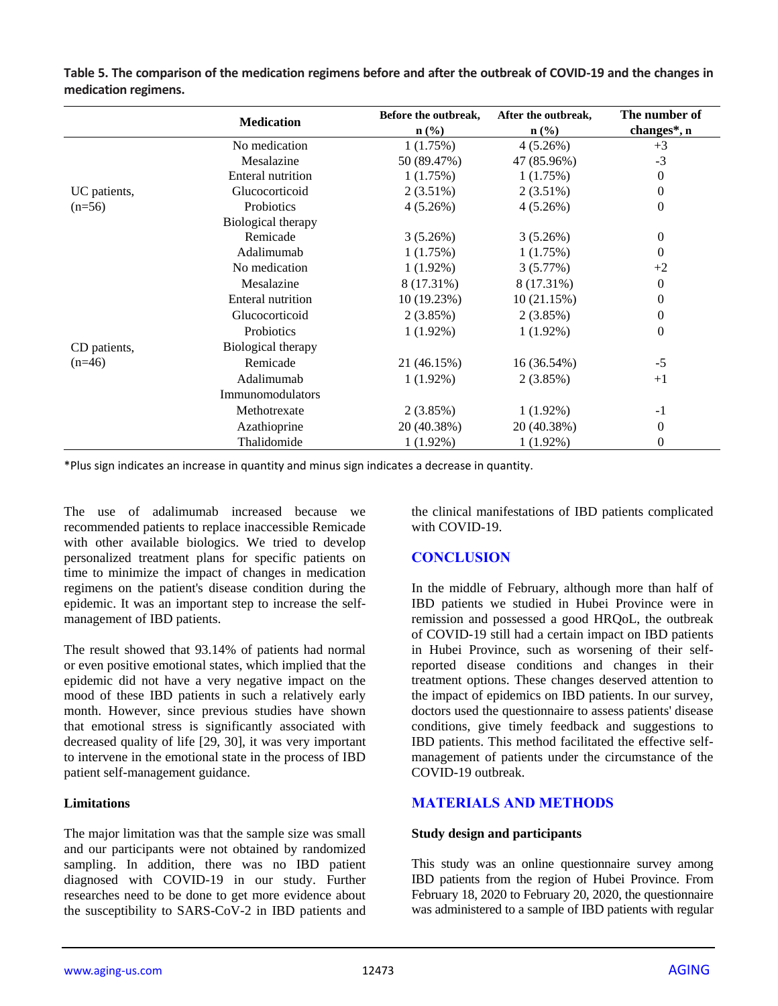|              | <b>Medication</b>        | Before the outbreak,<br>$n$ (%) | After the outbreak,<br>$\mathbf{n}(\%)$ | The number of<br>changes*, n |
|--------------|--------------------------|---------------------------------|-----------------------------------------|------------------------------|
|              | No medication            | 1(1.75%)                        | 4(5.26%)                                | $+3$                         |
|              | Mesalazine               | 50 (89.47%)                     | 47 (85.96%)                             | $-3$                         |
|              | <b>Enteral nutrition</b> | 1(1.75%)                        | 1(1.75%)                                | $\theta$                     |
| UC patients, | Glucocorticoid           | $2(3.51\%)$                     | $2(3.51\%)$                             | $\theta$                     |
| $(n=56)$     | Probiotics               | 4(5.26%)                        | 4(5.26%)                                | $\theta$                     |
|              | Biological therapy       |                                 |                                         |                              |
|              | Remicade                 | 3(5.26%)                        | 3(5.26%)                                | 0                            |
|              | Adalimumab               | 1(1.75%)                        | 1(1.75%)                                | $\theta$                     |
|              | No medication            | $1(1.92\%)$                     | 3(5.77%)                                | $+2$                         |
|              | Mesalazine               | 8 (17.31%)                      | 8 (17.31%)                              | $\theta$                     |
|              | Enteral nutrition        | 10 (19.23%)                     | 10(21.15%)                              | 0                            |
|              | Glucocorticoid           | 2(3.85%)                        | 2(3.85%)                                | 0                            |
|              | Probiotics               | $1(1.92\%)$                     | $1(1.92\%)$                             | $\theta$                     |
| CD patients, | Biological therapy       |                                 |                                         |                              |
| $(n=46)$     | Remicade                 | 21 (46.15%)                     | 16 (36.54%)                             | $-5$                         |
|              | Adalimumab               | $1(1.92\%)$                     | 2(3.85%)                                | $+1$                         |
|              | Immunomodulators         |                                 |                                         |                              |
|              | Methotrexate             | 2(3.85%)                        | $1(1.92\%)$                             | $-1$                         |
|              | Azathioprine             | 20 (40.38%)                     | 20 (40.38%)                             | $\theta$                     |
|              | Thalidomide              | $1(1.92\%)$                     | $1(1.92\%)$                             | 0                            |

**Table 5. The comparison of the medication regimens before and after the outbreak of COVID-19 and the changes in medication regimens.**

\*Plus sign indicates an increase in quantity and minus sign indicates a decrease in quantity.

The use of adalimumab increased because we recommended patients to replace inaccessible Remicade with other available biologics. We tried to develop personalized treatment plans for specific patients on time to minimize the impact of changes in medication regimens on the patient's disease condition during the epidemic. It was an important step to increase the selfmanagement of IBD patients.

The result showed that 93.14% of patients had normal or even positive emotional states, which implied that the epidemic did not have a very negative impact on the mood of these IBD patients in such a relatively early month. However, since previous studies have shown that emotional stress is significantly associated with decreased quality of life [29, 30], it was very important to intervene in the emotional state in the process of IBD patient self-management guidance.

### **Limitations**

The major limitation was that the sample size was small and our participants were not obtained by randomized sampling. In addition, there was no IBD patient diagnosed with COVID-19 in our study. Further researches need to be done to get more evidence about the susceptibility to SARS-CoV-2 in IBD patients and the clinical manifestations of IBD patients complicated with COVID-19.

## **CONCLUSION**

In the middle of February, although more than half of IBD patients we studied in Hubei Province were in remission and possessed a good HRQoL, the outbreak of COVID-19 still had a certain impact on IBD patients in Hubei Province, such as worsening of their selfreported disease conditions and changes in their treatment options. These changes deserved attention to the impact of epidemics on IBD patients. In our survey, doctors used the questionnaire to assess patients' disease conditions, give timely feedback and suggestions to IBD patients. This method facilitated the effective selfmanagement of patients under the circumstance of the COVID-19 outbreak.

## **MATERIALS AND METHODS**

### **Study design and participants**

This study was an online questionnaire survey among IBD patients from the region of Hubei Province. From February 18, 2020 to February 20, 2020, the questionnaire was administered to a sample of IBD patients with regular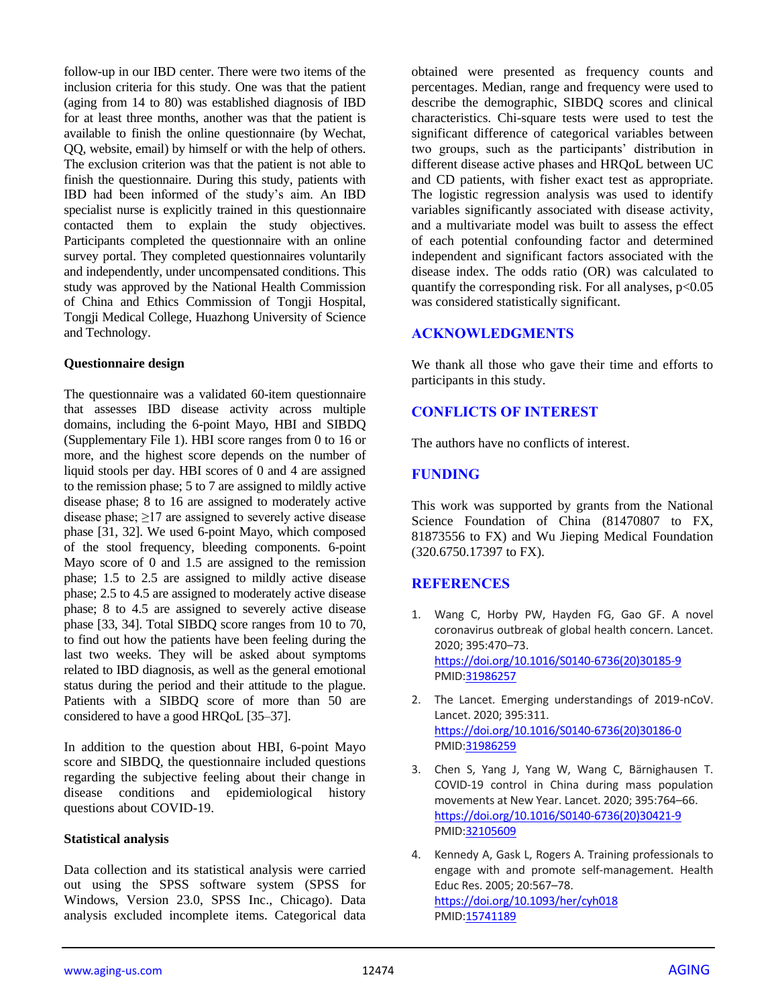follow-up in our IBD center. There were two items of the inclusion criteria for this study. One was that the patient (aging from 14 to 80) was established diagnosis of IBD for at least three months, another was that the patient is available to finish the online questionnaire (by Wechat, QQ, website, email) by himself or with the help of others. The exclusion criterion was that the patient is not able to finish the questionnaire. During this study, patients with IBD had been informed of the study's aim. An IBD specialist nurse is explicitly trained in this questionnaire contacted them to explain the study objectives. Participants completed the questionnaire with an online survey portal. They completed questionnaires voluntarily and independently, under uncompensated conditions. This study was approved by the National Health Commission of China and Ethics Commission of Tongji Hospital, Tongji Medical College, Huazhong University of Science and Technology.

#### **Questionnaire design**

The questionnaire was a validated 60-item questionnaire that assesses IBD disease activity across multiple domains, including the 6-point Mayo, HBI and SIBDQ (Supplementary File 1). HBI score ranges from 0 to 16 or more, and the highest score depends on the number of liquid stools per day. HBI scores of 0 and 4 are assigned to the remission phase; 5 to 7 are assigned to mildly active disease phase; 8 to 16 are assigned to moderately active disease phase;  $\geq$ 17 are assigned to severely active disease phase [31, 32]. We used 6-point Mayo, which composed of the stool frequency, bleeding components. 6-point Mayo score of 0 and 1.5 are assigned to the remission phase; 1.5 to 2.5 are assigned to mildly active disease phase; 2.5 to 4.5 are assigned to moderately active disease phase; 8 to 4.5 are assigned to severely active disease phase [33, 34]. Total SIBDQ score ranges from 10 to 70, to find out how the patients have been feeling during the last two weeks. They will be asked about symptoms related to IBD diagnosis, as well as the general emotional status during the period and their attitude to the plague. Patients with a SIBDQ score of more than 50 are considered to have a good HRQoL [35–37].

In addition to the question about HBI, 6-point Mayo score and SIBDQ, the questionnaire included questions regarding the subjective feeling about their change in disease conditions and epidemiological history questions about COVID-19.

#### **Statistical analysis**

Data collection and its statistical analysis were carried out using the SPSS software system (SPSS for Windows, Version 23.0, SPSS Inc., Chicago). Data analysis excluded incomplete items. Categorical data

obtained were presented as frequency counts and percentages. Median, range and frequency were used to describe the demographic, SIBDQ scores and clinical characteristics. Chi-square tests were used to test the significant difference of categorical variables between two groups, such as the participants' distribution in different disease active phases and HRQoL between UC and CD patients, with fisher exact test as appropriate. The logistic regression analysis was used to identify variables significantly associated with disease activity, and a multivariate model was built to assess the effect of each potential confounding factor and determined independent and significant factors associated with the disease index. The odds ratio (OR) was calculated to quantify the corresponding risk. For all analyses,  $p<0.05$ was considered statistically significant.

### **ACKNOWLEDGMENTS**

We thank all those who gave their time and efforts to participants in this study.

## **CONFLICTS OF INTEREST**

The authors have no conflicts of interest.

## **FUNDING**

This work was supported by grants from the National Science Foundation of China (81470807 to FX, 81873556 to FX) and Wu Jieping Medical Foundation (320.6750.17397 to FX).

## **REFERENCES**

- 1. Wang C, Horby PW, Hayden FG, Gao GF. A novel coronavirus outbreak of global health concern. Lancet. 2020; 395:470–73. [https://doi.org/10.1016/S0140-6736\(20\)30185-9](https://doi.org/10.1016/S0140-6736%2820%2930185-9) PMI[D:31986257](https://www.ncbi.nlm.nih.gov/pubmed/31986257)
- 2. The Lancet. Emerging understandings of 2019-nCoV. Lancet. 2020; 395:311. [https://doi.org/10.1016/S0140-6736\(20\)30186-0](https://doi.org/10.1016/S0140-6736%2820%2930186-0) PMI[D:31986259](https://www.ncbi.nlm.nih.gov/pubmed/31986259)
- 3. Chen S, Yang J, Yang W, Wang C, Bärnighausen T. COVID-19 control in China during mass population movements at New Year. Lancet. 2020; 395:764–66. [https://doi.org/10.1016/S0140-6736\(20\)30421-9](https://doi.org/10.1016/S0140-6736%2820%2930421-9) PMI[D:32105609](https://www.ncbi.nlm.nih.gov/pubmed/32105609)
- 4. Kennedy A, Gask L, Rogers A. Training professionals to engage with and promote self-management. Health Educ Res. 2005; 20:567–78. <https://doi.org/10.1093/her/cyh018> PMI[D:15741189](https://www.ncbi.nlm.nih.gov/pubmed/15741189)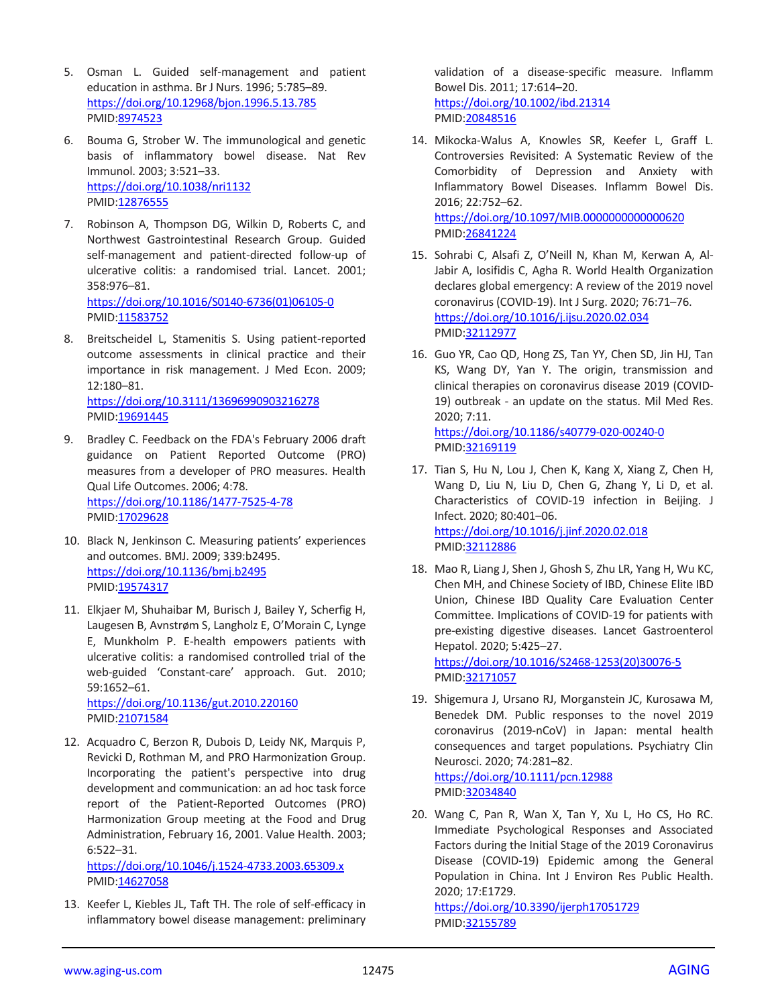- 5. Osman L. Guided self-management and patient education in asthma. Br J Nurs. 1996; 5:785–89. <https://doi.org/10.12968/bjon.1996.5.13.785> PMID[:8974523](https://www.ncbi.nlm.nih.gov/pubmed/8974523)
- 6. Bouma G, Strober W. The immunological and genetic basis of inflammatory bowel disease. Nat Rev Immunol. 2003; 3:521–33. <https://doi.org/10.1038/nri1132> PMID[:12876555](https://www.ncbi.nlm.nih.gov/pubmed/12876555)
- 7. Robinson A, Thompson DG, Wilkin D, Roberts C, and Northwest Gastrointestinal Research Group. Guided self-management and patient-directed follow-up of ulcerative colitis: a randomised trial. Lancet. 2001; 358:976–81. [https://doi.org/10.1016/S0140-6736\(01\)06105-0](https://doi.org/10.1016/S0140-6736%2801%2906105-0) PMID[:11583752](https://www.ncbi.nlm.nih.gov/pubmed/11583752)
- 8. Breitscheidel L, Stamenitis S. Using patient-reported outcome assessments in clinical practice and their importance in risk management. J Med Econ. 2009; 12:180–81. <https://doi.org/10.3111/13696990903216278> PMID[:19691445](https://www.ncbi.nlm.nih.gov/pubmed/19691445)
- 9. Bradley C. Feedback on the FDA's February 2006 draft guidance on Patient Reported Outcome (PRO) measures from a developer of PRO measures. Health Qual Life Outcomes. 2006; 4:78. <https://doi.org/10.1186/1477-7525-4-78> PMID[:17029628](https://pubmed.ncbi.nlm.nih.gov/17029628)
- 10. Black N, Jenkinson C. Measuring patients' experiences and outcomes. BMJ. 2009; 339:b2495. <https://doi.org/10.1136/bmj.b2495> PMID[:19574317](https://www.ncbi.nlm.nih.gov/pubmed/19574317)
- 11. Elkjaer M, Shuhaibar M, Burisch J, Bailey Y, Scherfig H, Laugesen B, Avnstrøm S, Langholz E, O'Morain C, Lynge E, Munkholm P. E-health empowers patients with ulcerative colitis: a randomised controlled trial of the web-guided 'Constant-care' approach. Gut. 2010; 59:1652–61.

<https://doi.org/10.1136/gut.2010.220160> PMID[:21071584](https://www.ncbi.nlm.nih.gov/pubmed/21071584)

12. Acquadro C, Berzon R, Dubois D, Leidy NK, Marquis P, Revicki D, Rothman M, and PRO Harmonization Group. Incorporating the patient's perspective into drug development and communication: an ad hoc task force report of the Patient-Reported Outcomes (PRO) Harmonization Group meeting at the Food and Drug Administration, February 16, 2001. Value Health. 2003; 6:522–31.

<https://doi.org/10.1046/j.1524-4733.2003.65309.x> PMID[:14627058](https://pubmed.ncbi.nlm.nih.gov/14627058)

13. Keefer L, Kiebles JL, Taft TH. The role of self-efficacy in inflammatory bowel disease management: preliminary validation of a disease-specific measure. Inflamm Bowel Dis. 2011; 17:614–20. <https://doi.org/10.1002/ibd.21314> PMI[D:20848516](https://www.ncbi.nlm.nih.gov/pubmed/20848516)

- 14. Mikocka-Walus A, Knowles SR, Keefer L, Graff L. Controversies Revisited: A Systematic Review of the Comorbidity of Depression and Anxiety with Inflammatory Bowel Diseases. Inflamm Bowel Dis. 2016; 22:752–62. <https://doi.org/10.1097/MIB.0000000000000620> PMI[D:26841224](https://www.ncbi.nlm.nih.gov/pubmed/26841224)
- 15. Sohrabi C, Alsafi Z, O'Neill N, Khan M, Kerwan A, Al-Jabir A, Iosifidis C, Agha R. World Health Organization declares global emergency: A review of the 2019 novel coronavirus (COVID-19). Int J Surg. 2020; 76:71–76. <https://doi.org/10.1016/j.ijsu.2020.02.034> PMI[D:32112977](https://www.ncbi.nlm.nih.gov/pubmed/32112977)
- 16. Guo YR, Cao QD, Hong ZS, Tan YY, Chen SD, Jin HJ, Tan KS, Wang DY, Yan Y. The origin, transmission and clinical therapies on coronavirus disease 2019 (COVID-19) outbreak - an update on the status. Mil Med Res. 2020; 7:11. <https://doi.org/10.1186/s40779-020-00240-0>

PMI[D:32169119](https://www.ncbi.nlm.nih.gov/pubmed/32169119)

- 17. Tian S, Hu N, Lou J, Chen K, Kang X, Xiang Z, Chen H, Wang D, Liu N, Liu D, Chen G, Zhang Y, Li D, et al. Characteristics of COVID-19 infection in Beijing. J Infect. 2020; 80:401–06. <https://doi.org/10.1016/j.jinf.2020.02.018> PMI[D:32112886](https://www.ncbi.nlm.nih.gov/pubmed/32112886)
- 18. Mao R, Liang J, Shen J, Ghosh S, Zhu LR, Yang H, Wu KC, Chen MH, and Chinese Society of IBD, Chinese Elite IBD Union, Chinese IBD Quality Care Evaluation Center Committee. Implications of COVID-19 for patients with pre-existing digestive diseases. Lancet Gastroenterol Hepatol. 2020; 5:425–27. [https://doi.org/10.1016/S2468-1253\(20\)30076-5](https://doi.org/10.1016/S2468-1253%2820%2930076-5)

PMI[D:32171057](https://www.ncbi.nlm.nih.gov/pubmed/32171057)

19. Shigemura J, Ursano RJ, Morganstein JC, Kurosawa M, Benedek DM. Public responses to the novel 2019 coronavirus (2019-nCoV) in Japan: mental health consequences and target populations. Psychiatry Clin Neurosci. 2020; 74:281–82.

<https://doi.org/10.1111/pcn.12988> PMI[D:32034840](https://www.ncbi.nlm.nih.gov/pubmed/32034840)

20. Wang C, Pan R, Wan X, Tan Y, Xu L, Ho CS, Ho RC. Immediate Psychological Responses and Associated Factors during the Initial Stage of the 2019 Coronavirus Disease (COVID-19) Epidemic among the General Population in China. Int J Environ Res Public Health. 2020; 17:E1729.

<https://doi.org/10.3390/ijerph17051729> PMI[D:32155789](https://www.ncbi.nlm.nih.gov/pubmed/32155789)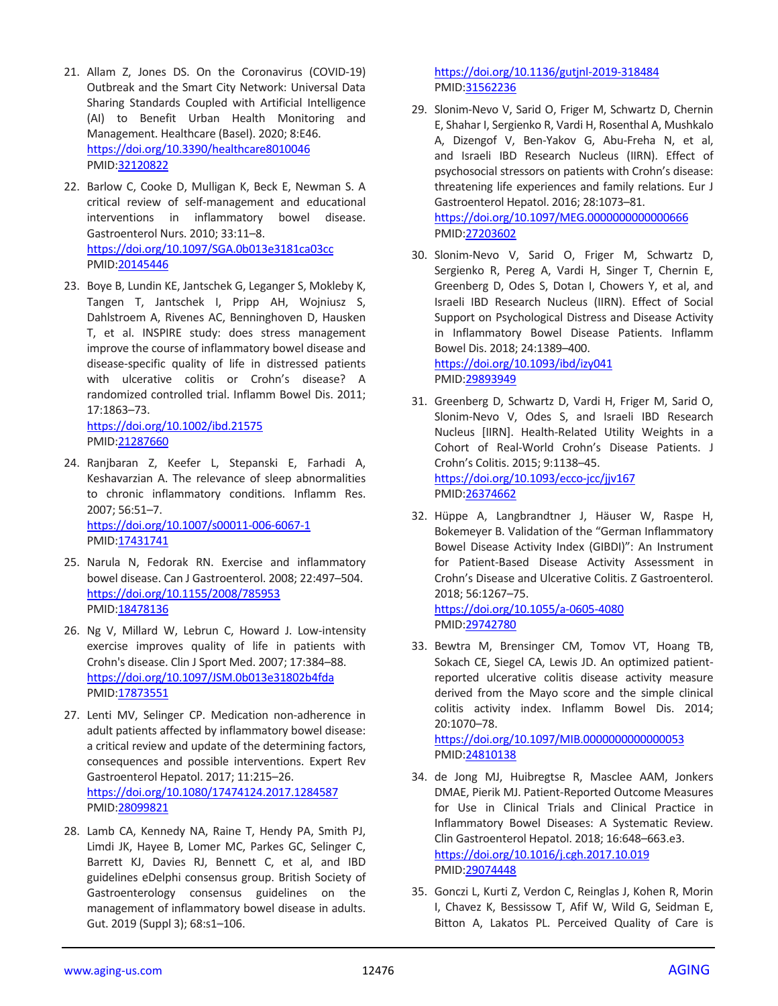- 21. Allam Z, Jones DS. On the Coronavirus (COVID-19) Outbreak and the Smart City Network: Universal Data Sharing Standards Coupled with Artificial Intelligence (AI) to Benefit Urban Health Monitoring and Management. Healthcare (Basel). 2020; 8:E46. <https://doi.org/10.3390/healthcare8010046> PMID[:32120822](https://www.ncbi.nlm.nih.gov/pubmed/32120822)
- 22. Barlow C, Cooke D, Mulligan K, Beck E, Newman S. A critical review of self-management and educational interventions in inflammatory bowel disease. Gastroenterol Nurs. 2010; 33:11–8. <https://doi.org/10.1097/SGA.0b013e3181ca03cc> PMID[:20145446](https://pubmed.ncbi.nlm.nih.gov/20145446)
- 23. Boye B, Lundin KE, Jantschek G, Leganger S, Mokleby K, Tangen T, Jantschek I, Pripp AH, Wojniusz S, Dahlstroem A, Rivenes AC, Benninghoven D, Hausken T, et al. INSPIRE study: does stress management improve the course of inflammatory bowel disease and disease-specific quality of life in distressed patients with ulcerative colitis or Crohn's disease? A randomized controlled trial. Inflamm Bowel Dis. 2011; 17:1863–73. <https://doi.org/10.1002/ibd.21575>

PMID[:21287660](https://www.ncbi.nlm.nih.gov/pubmed/21287660)

- 24. Ranjbaran Z, Keefer L, Stepanski E, Farhadi A, Keshavarzian A. The relevance of sleep abnormalities to chronic inflammatory conditions. Inflamm Res. 2007; 56:51–7. <https://doi.org/10.1007/s00011-006-6067-1> PMID[:17431741](https://pubmed.ncbi.nlm.nih.gov/17431741)
- 25. Narula N, Fedorak RN. Exercise and inflammatory bowel disease. Can J Gastroenterol. 2008; 22:497–504. <https://doi.org/10.1155/2008/785953> PMID[:18478136](https://www.ncbi.nlm.nih.gov/pubmed/18478136)
- 26. Ng V, Millard W, Lebrun C, Howard J. Low-intensity exercise improves quality of life in patients with Crohn's disease. Clin J Sport Med. 2007; 17:384–88. <https://doi.org/10.1097/JSM.0b013e31802b4fda> PMID[:17873551](https://pubmed.ncbi.nlm.nih.gov/17873551)
- 27. Lenti MV, Selinger CP. Medication non-adherence in adult patients affected by inflammatory bowel disease: a critical review and update of the determining factors, consequences and possible interventions. Expert Rev Gastroenterol Hepatol. 2017; 11:215–26. <https://doi.org/10.1080/17474124.2017.1284587> PMID[:28099821](https://www.ncbi.nlm.nih.gov/pubmed/28099821)
- 28. Lamb CA, Kennedy NA, Raine T, Hendy PA, Smith PJ, Limdi JK, Hayee B, Lomer MC, Parkes GC, Selinger C, Barrett KJ, Davies RJ, Bennett C, et al, and IBD guidelines eDelphi consensus group. British Society of Gastroenterology consensus guidelines on the management of inflammatory bowel disease in adults. Gut. 2019 (Suppl 3); 68:s1–106.

<https://doi.org/10.1136/gutjnl-2019-318484> PMI[D:31562236](https://www.ncbi.nlm.nih.gov/pubmed/31562236)

- 29. Slonim-Nevo V, Sarid O, Friger M, Schwartz D, Chernin E, Shahar I, Sergienko R, Vardi H, Rosenthal A, Mushkalo A, Dizengof V, Ben-Yakov G, Abu-Freha N, et al, and Israeli IBD Research Nucleus (IIRN). Effect of psychosocial stressors on patients with Crohn's disease: threatening life experiences and family relations. Eur J Gastroenterol Hepatol. 2016; 28:1073–81. <https://doi.org/10.1097/MEG.0000000000000666> PMI[D:27203602](https://www.ncbi.nlm.nih.gov/pubmed/27203602)
- 30. Slonim-Nevo V, Sarid O, Friger M, Schwartz D, Sergienko R, Pereg A, Vardi H, Singer T, Chernin E, Greenberg D, Odes S, Dotan I, Chowers Y, et al, and Israeli IBD Research Nucleus (IIRN). Effect of Social Support on Psychological Distress and Disease Activity in Inflammatory Bowel Disease Patients. Inflamm Bowel Dis. 2018; 24:1389–400. <https://doi.org/10.1093/ibd/izy041>

PMI[D:29893949](https://www.ncbi.nlm.nih.gov/pubmed/29893949)

- 31. Greenberg D, Schwartz D, Vardi H, Friger M, Sarid O, Slonim-Nevo V, Odes S, and Israeli IBD Research Nucleus [IIRN]. Health-Related Utility Weights in a Cohort of Real-World Crohn's Disease Patients. J Crohn's Colitis. 2015; 9:1138–45. <https://doi.org/10.1093/ecco-jcc/jjv167> PMI[D:26374662](https://www.ncbi.nlm.nih.gov/pubmed/26374662)
- 32. Hüppe A, Langbrandtner J, Häuser W, Raspe H, Bokemeyer B. Validation of the "German Inflammatory Bowel Disease Activity Index (GIBDI)": An Instrument for Patient-Based Disease Activity Assessment in Crohn's Disease and Ulcerative Colitis. Z Gastroenterol. 2018; 56:1267–75. <https://doi.org/10.1055/a-0605-4080>

PMI[D:29742780](https://www.ncbi.nlm.nih.gov/pubmed/29742780)

33. Bewtra M, Brensinger CM, Tomov VT, Hoang TB, Sokach CE, Siegel CA, Lewis JD. An optimized patientreported ulcerative colitis disease activity measure derived from the Mayo score and the simple clinical colitis activity index. Inflamm Bowel Dis. 2014; 20:1070–78.

<https://doi.org/10.1097/MIB.0000000000000053> PMI[D:24810138](https://www.ncbi.nlm.nih.gov/pubmed/24810138)

- 34. de Jong MJ, Huibregtse R, Masclee AAM, Jonkers DMAE, Pierik MJ. Patient-Reported Outcome Measures for Use in Clinical Trials and Clinical Practice in Inflammatory Bowel Diseases: A Systematic Review. Clin Gastroenterol Hepatol. 2018; 16:648–663.e3. <https://doi.org/10.1016/j.cgh.2017.10.019> PMI[D:29074448](https://pubmed.ncbi.nlm.nih.gov/29074448)
- 35. Gonczi L, Kurti Z, Verdon C, Reinglas J, Kohen R, Morin I, Chavez K, Bessissow T, Afif W, Wild G, Seidman E, Bitton A, Lakatos PL. Perceived Quality of Care is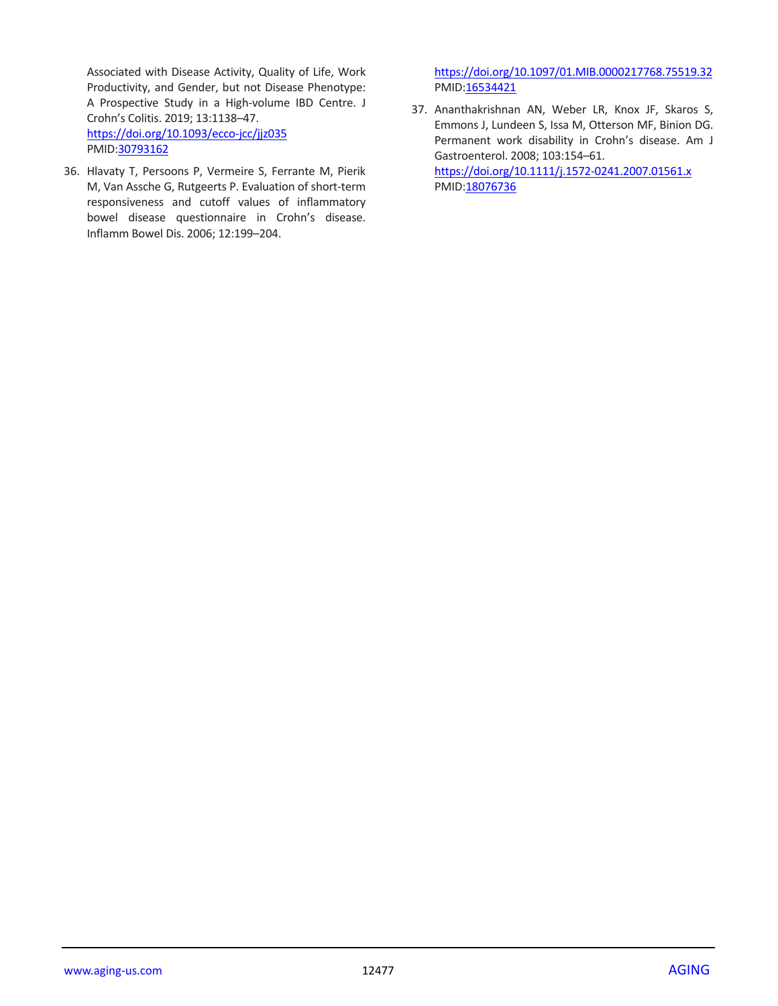Associated with Disease Activity, Quality of Life, Work Productivity, and Gender, but not Disease Phenotype: A Prospective Study in a High-volume IBD Centre. J Crohn's Colitis. 2019; 13:1138–47. <https://doi.org/10.1093/ecco-jcc/jjz035> PMID[:30793162](https://www.ncbi.nlm.nih.gov/pubmed/30793162)

36. Hlavaty T, Persoons P, Vermeire S, Ferrante M, Pierik M, Van Assche G, Rutgeerts P. Evaluation of short-term responsiveness and cutoff values of inflammatory bowel disease questionnaire in Crohn's disease. Inflamm Bowel Dis. 2006; 12:199–204.

<https://doi.org/10.1097/01.MIB.0000217768.75519.32> PMID: 16534421

37. Ananthakrishnan AN, Weber LR, Knox JF, Skaros S, Emmons J, Lundeen S, Issa M, Otterson MF, Binion DG. Permanent work disability in Crohn's disease. Am J Gastroenterol. 2008; 103:154–61. <https://doi.org/10.1111/j.1572-0241.2007.01561.x> PMI[D:18076736](https://www.ncbi.nlm.nih.gov/pubmed/18076736)